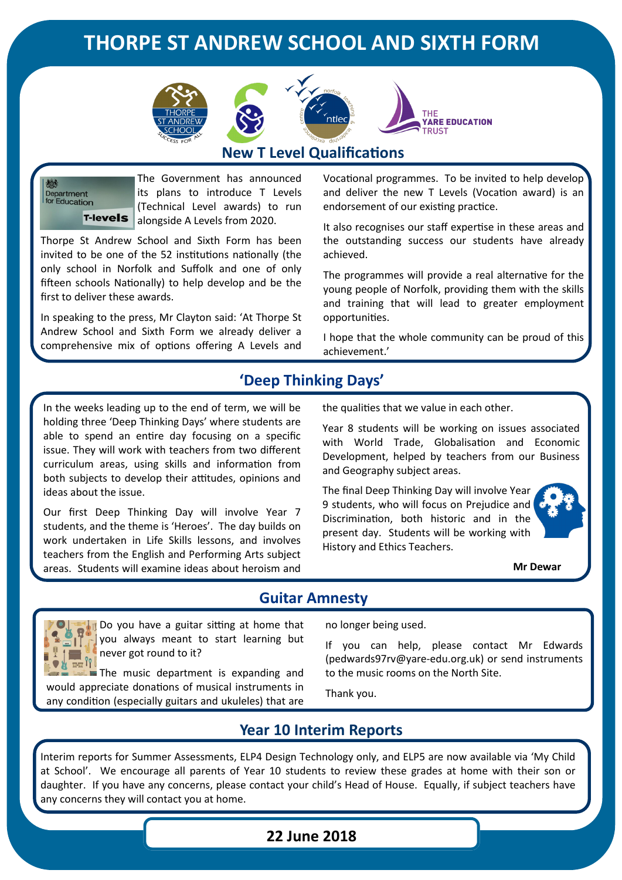# **THORPE ST ANDREW SCHOOL AND SIXTH FORM**







### **New T Level Qualifications**

Department<br>for Education T-levels

The Government has announced its plans to introduce T Levels (Technical Level awards) to run alongside A Levels from 2020.

Thorpe St Andrew School and Sixth Form has been invited to be one of the 52 institutions nationally (the only school in Norfolk and Suffolk and one of only fifteen schools Nationally) to help develop and be the first to deliver these awards.

In speaking to the press, Mr Clayton said: 'At Thorpe St Andrew School and Sixth Form we already deliver a comprehensive mix of options offering A Levels and Vocational programmes. To be invited to help develop and deliver the new T Levels (Vocation award) is an endorsement of our existing practice.

It also recognises our staff expertise in these areas and the outstanding success our students have already achieved.

The programmes will provide a real alternative for the young people of Norfolk, providing them with the skills and training that will lead to greater employment opportunities.

I hope that the whole community can be proud of this achievement.'

# **'Deep Thinking Days'**

In the weeks leading up to the end of term, we will be holding three 'Deep Thinking Days' where students are able to spend an entire day focusing on a specific issue. They will work with teachers from two different curriculum areas, using skills and information from both subjects to develop their attitudes, opinions and ideas about the issue.

Our first Deep Thinking Day will involve Year 7 students, and the theme is 'Heroes'. The day builds on work undertaken in Life Skills lessons, and involves teachers from the English and Performing Arts subject areas. Students will examine ideas about heroism and

the qualities that we value in each other.

Year 8 students will be working on issues associated with World Trade, Globalisation and Economic Development, helped by teachers from our Business and Geography subject areas.

The final Deep Thinking Day will involve Year 9 students, who will focus on Prejudice and Discrimination, both historic and in the present day. Students will be working with History and Ethics Teachers.



**Mr Dewar**

### **Guitar Amnesty**



**Do you have a guitar sitting at home that** you always meant to start learning but never got round to it?

 $\blacksquare$  The music department is expanding and would appreciate donations of musical instruments in any condition (especially guitars and ukuleles) that are

no longer being used.

If you can help, please contact Mr Edwards (pedwards97rv@yare-edu.org.uk) or send instruments to the music rooms on the North Site.

Thank you.

### **Year 10 Interim Reports**

Interim reports for Summer Assessments, ELP4 Design Technology only, and ELP5 are now available via 'My Child at School'. We encourage all parents of Year 10 students to review these grades at home with their son or daughter. If you have any concerns, please contact your child's Head of House. Equally, if subject teachers have any concerns they will contact you at home.

#### **22 June 2018**